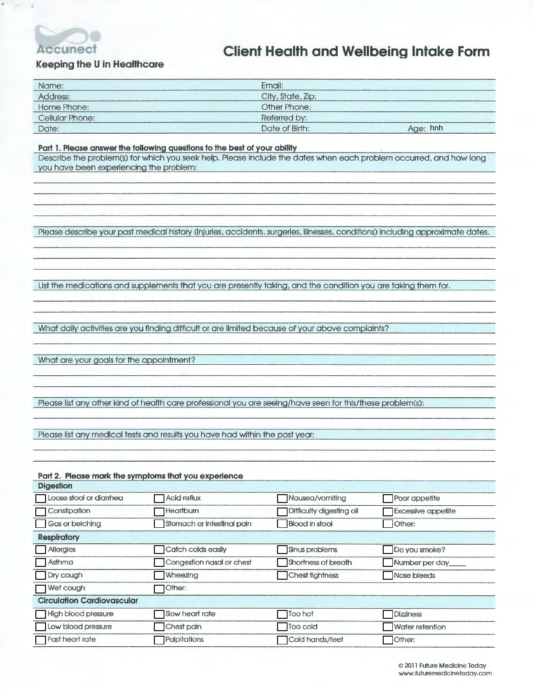

÷,

## **Client Health and Wellbeing Intake Form**

#### **Keeping the U in Healthcare**

| Name:           | Email:                     |  |
|-----------------|----------------------------|--|
| Address:        | City, State, Zip:          |  |
| Home Phone:     | Other Phone:               |  |
| Cellular Phone: | Referred by:               |  |
| Date:           | Date of Birth:<br>Age: hnh |  |

#### **Part 1. Please answer the following questions to the best of your ability**

Describe the problem(s) for which you seek help. Please include the dates when each problem occurred, and how long you have been experiencing the problem:

Please describe your past medical history (injuries, accidents, surgeries, illnesses, conditions) including approximate dates.

List the medications and supplements that you are presently taking, and the condition you are taking them for.

What daily activities are you finding difficult or are limited because of your above complaints?

What are your goals for the appointment?

Please list any other kind of health care professional you are seeing/have seen for this/these problem(s):

Please list any medical tests and results you have had within the past year:

#### **Part 2. Please mark the symptoms that you experience**

| <b>Digestion</b>                  |                            |                          |                           |
|-----------------------------------|----------------------------|--------------------------|---------------------------|
| Loose stool or diarrhea           | Acid reflux                | Nausea/vomiting          | Poor appetite             |
| Constipation                      | Heartburn                  | Difficulty digesting oil | <b>Excessive appetite</b> |
| Gas or belching                   | Stomach or intestinal pain | <b>Blood in stool</b>    | Other:                    |
| <b>Respiratory</b>                |                            |                          |                           |
| <b>Allergies</b>                  | Catch colds easily         | Sinus problems           | Do you smoke?             |
| $\sqcap$ Asthma                   | Congestion nasal or chest  | Shortness of breath      | Number per day            |
| Dry cough                         | Wheezing                   | Chest tightness          | Nose bleeds               |
| Wet cough                         | Other:                     |                          |                           |
| <b>Circulation Cardiovascular</b> |                            |                          |                           |
| High blood pressure               | Slow heart rate            | Too hot                  | <b>Dizziness</b>          |
| Low blood pressure                | Chest pain                 | Too cold                 | Water retention           |
| <b>T</b> Fast heart rate          | Palpitations               | Cold hands/feet          | TOther:                   |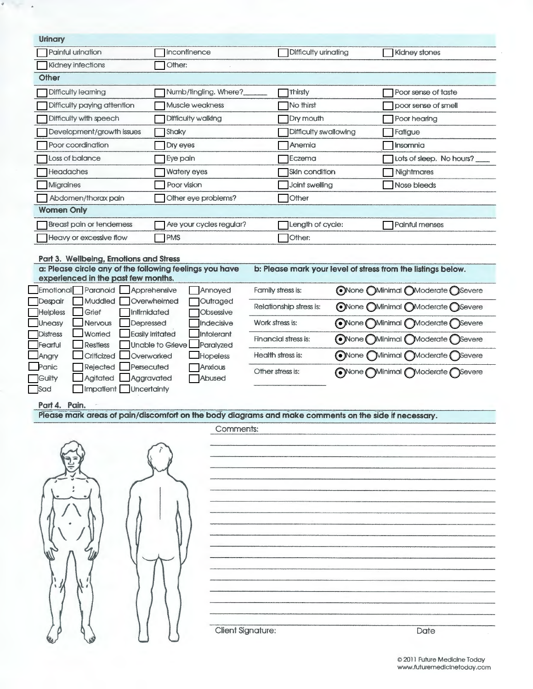| Urinary                                                                                                                                                           |                                                                  |                                                                                                       |                                   |  |
|-------------------------------------------------------------------------------------------------------------------------------------------------------------------|------------------------------------------------------------------|-------------------------------------------------------------------------------------------------------|-----------------------------------|--|
| Painful urination                                                                                                                                                 | Incontinence                                                     | Difficulty urinating                                                                                  | Kidney stones                     |  |
| Kidney infections                                                                                                                                                 | Other:                                                           |                                                                                                       |                                   |  |
| Other                                                                                                                                                             |                                                                  |                                                                                                       |                                   |  |
| Difficulty learning                                                                                                                                               | Numb/fingling. Where?                                            | Thirsty                                                                                               | Poor sense of taste               |  |
| Difficulty paying attention                                                                                                                                       | Muscle weakness                                                  | No thirst                                                                                             | poor sense of smell               |  |
| Difficulty with speech                                                                                                                                            | Difficulty walking                                               | Dry mouth                                                                                             | Poor hearing                      |  |
| Development/growth issues                                                                                                                                         | Shaky                                                            | Difficulty swallowing                                                                                 | Fatigue                           |  |
| Poor coordination                                                                                                                                                 | Dry eyes                                                         | Anemia                                                                                                | Insomnia                          |  |
| Loss of balance                                                                                                                                                   | Eye pain                                                         | Eczema                                                                                                | Lots of sleep. No hours?          |  |
| Headaches                                                                                                                                                         | Watery eyes                                                      | Skin condition                                                                                        | Nightmares                        |  |
| <b>Migraines</b>                                                                                                                                                  | Poor vision                                                      | Joint swelling                                                                                        | Nose bleeds                       |  |
| Abdomen/thorax pain                                                                                                                                               | Other eye problems?                                              | Other                                                                                                 |                                   |  |
| <b>Women Only</b>                                                                                                                                                 |                                                                  |                                                                                                       |                                   |  |
| Breast pain or tenderness                                                                                                                                         | Are your cycles regular?                                         | Length of cycle:                                                                                      | Painful menses                    |  |
| Heavy or excessive flow                                                                                                                                           | <b>TPMS</b>                                                      | Other:                                                                                                |                                   |  |
|                                                                                                                                                                   |                                                                  |                                                                                                       |                                   |  |
| Part 3. Wellbeing, Emotions and Stress<br>a: Please circle any of the following feelings you have<br>b: Please mark your level of stress from the listings below. |                                                                  |                                                                                                       |                                   |  |
| experienced in the past few months.                                                                                                                               |                                                                  |                                                                                                       |                                   |  |
| Emotional<br>Paranoid                                                                                                                                             | Apprehensive<br>Annoyed                                          | Family stress is:                                                                                     | ONone OMinimal OModerate OSevere  |  |
| Muddled<br>Despair                                                                                                                                                | Overwhelmed<br>Outraged                                          | Relationship stress is:                                                                               | ONone OMinimal OModerate OSevere  |  |
| <b>Helpless</b><br>Grief                                                                                                                                          | Intimidated<br>Obsessive                                         |                                                                                                       |                                   |  |
| Uneasy<br><b>Nervous</b><br>Worried<br><b>Distress</b>                                                                                                            | Indecisive<br>Depressed<br><b>Easily Irritated</b><br>Intolerant | Work stress is:                                                                                       | ONone OMinimal<br>Moderate Severe |  |
| <b>Restless</b><br>Fearful                                                                                                                                        | <b>Unable to Grieve</b><br>Paralyzed                             | Financial stress is:<br>ONone                                                                         | Minimal<br>Moderate (<br>Severe   |  |
| Criticized<br>Angry                                                                                                                                               | Overworked<br><b>Hopeless</b>                                    | Health stress is:<br>ONone                                                                            | Minimal Moderate Severe           |  |
| Panic<br>Rejected                                                                                                                                                 | Persecuted<br>Anxious                                            | Other stress is:                                                                                      | ONone OMinimal OModerate OSevere  |  |
| Agitated<br>Guilty                                                                                                                                                | Aggravated<br>Abused                                             |                                                                                                       |                                   |  |
| <b>Sad</b><br><b>Impatient</b>                                                                                                                                    | Uncertainty                                                      |                                                                                                       |                                   |  |
| Part 4. Pain.                                                                                                                                                     |                                                                  |                                                                                                       |                                   |  |
|                                                                                                                                                                   |                                                                  | Please mark areas of pain/discomfort on the body diagrams and make comments on the side if necessary. |                                   |  |
|                                                                                                                                                                   | Comments:                                                        |                                                                                                       |                                   |  |
|                                                                                                                                                                   |                                                                  |                                                                                                       |                                   |  |
|                                                                                                                                                                   |                                                                  |                                                                                                       |                                   |  |
|                                                                                                                                                                   |                                                                  |                                                                                                       |                                   |  |
|                                                                                                                                                                   |                                                                  |                                                                                                       |                                   |  |
|                                                                                                                                                                   |                                                                  |                                                                                                       |                                   |  |
|                                                                                                                                                                   |                                                                  |                                                                                                       |                                   |  |
|                                                                                                                                                                   |                                                                  |                                                                                                       |                                   |  |
|                                                                                                                                                                   |                                                                  |                                                                                                       |                                   |  |
|                                                                                                                                                                   |                                                                  |                                                                                                       |                                   |  |
|                                                                                                                                                                   |                                                                  |                                                                                                       |                                   |  |
|                                                                                                                                                                   |                                                                  |                                                                                                       |                                   |  |
|                                                                                                                                                                   |                                                                  |                                                                                                       |                                   |  |
|                                                                                                                                                                   |                                                                  |                                                                                                       |                                   |  |
|                                                                                                                                                                   |                                                                  |                                                                                                       |                                   |  |
|                                                                                                                                                                   | <b>Client Signature:</b>                                         |                                                                                                       | Date                              |  |
|                                                                                                                                                                   |                                                                  |                                                                                                       |                                   |  |

ä

 $\bar{\star}$ 

© 2011 Future Medicine Today www.futuremediclnetoday.com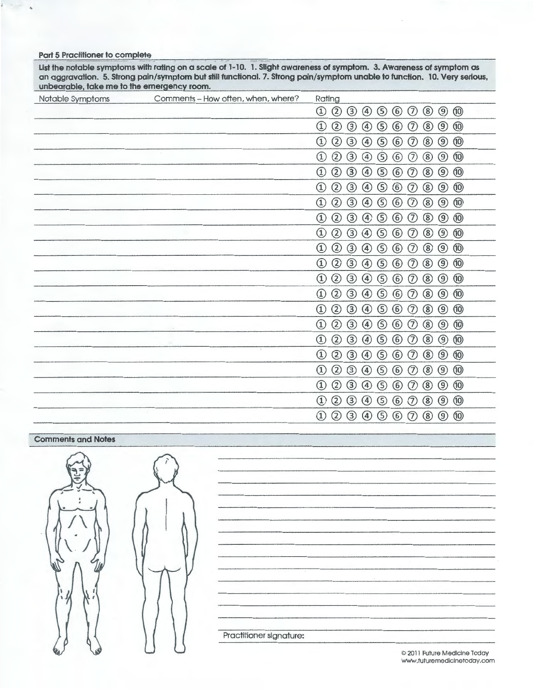| dimediable, lake the lot the entergency loom.<br>Notable Symptoms | Comments - How often, when, where? | Rating                                                                                                                                                                                         |
|-------------------------------------------------------------------|------------------------------------|------------------------------------------------------------------------------------------------------------------------------------------------------------------------------------------------|
|                                                                   |                                    | $\circledcirc$<br>$\circled{3}$<br>$\circledS$<br>$^{\circledR}$<br>$^{\circledR}$<br>$\circledcirc$<br>$\circledS$<br>$\circled{6}$<br>$\circledR$<br>$^{\circledR}$                          |
|                                                                   |                                    | $^{\circledR}$<br>$\circled{3}$<br>$\circledS$<br>$\circledast$<br>$\circledcirc$<br>$^{\circledR}$<br>$\circledcirc$<br>$\circledR$<br>$^{\textcircled{\tiny 1}}$<br>$\circledcirc$           |
|                                                                   |                                    | $^{\circledR}$<br>$\circled{3}$<br>$^{\copyright}$<br>$\circledS$<br>$^{\circledR}$<br>$^\text{\textregistered}$<br>$\circled{4}$<br>$\circledS$<br>$\circled{6}$<br>$^{\circledR}$            |
|                                                                   |                                    | $^{\circledR}$<br>③<br>$\circledS$<br>$\circled6$<br>$^{\circledR}$<br>$\circledS$<br>$\circledcirc$<br>$\circledcirc$<br>$^{\circledR}$<br>$\circled{1}$                                      |
|                                                                   |                                    | $\circled{2}$<br>$\circled{3}$<br>$\circledS$<br>$^{\circledR}$<br>$\circledS$<br>$^{\circledR}$<br>$\circled{4}$<br>$\circled{6}$<br>$\circledR$<br>$\circled{1}$                             |
|                                                                   |                                    | $\circledS$<br>$^{\circledR}$<br>$^{\circledR}$<br>$\circled{2}$<br>③<br>$\circledast$<br>$\circledast$<br>$^{\circledR}$<br>$^{\textcircled{\tiny 1}}$<br>$^{\circledR}$                      |
|                                                                   |                                    | $^{\circledR}$<br>$\circledS$<br>$\circled{2}$<br>③<br>$\circledcirc$<br>$^{\circledR}$<br>$\circled{1}$<br>$\circledcirc$<br>$\circledS$<br>$\circledast$                                     |
|                                                                   |                                    | $\circled{3}$<br>$\circledS$<br>$\circledD$<br>$^\circledR$<br>$^{\circledR}$<br>②<br>$\circled{4}$<br>$\circled6$<br>$\circledR$<br>$^{\textcircled{\tiny 1}}$                                |
|                                                                   |                                    | $\circled{3}$<br>$^{\copyright}$<br>$\circledS$<br>②<br>$\circled{4}$<br>$\circledS$<br>$\circled6$<br>$\circledcirc$<br>$^\copyright$<br>$^{\circledR}$                                       |
|                                                                   |                                    | $\circledcirc$<br>$^{\circledR}$<br>$\circled{3}$<br>$\circled{4}$<br>$\circledS$<br>$\circled{6}$<br>$\circledS$<br>$^{\circledR}$<br>$^{\textcircled{\tiny 1}}$<br>$^{\circledR}$            |
|                                                                   |                                    | $^{\circledR}$<br>③<br>$\circled6$<br>$^{\circledR}$<br>$\circledS$<br>$\circledcirc$<br>$^{\textcircled{\tiny 1}}$<br>$\circled{4}$<br>$\circledS$<br>$^{\circ}$                              |
|                                                                   |                                    | $\circledcirc$<br>$^{\circledR}$<br>③<br>$\circled{4}$<br>$\circledS$<br>$\circledast$<br>$^\circledR$<br>$^{\circledR}$<br>$^{\textcircled{\tiny 1}}$<br>$^{\circledR}$                       |
|                                                                   |                                    | $^{\circledR}$<br>$^{\circledR}$<br>②<br>$\circled{3}$<br>$\circledcirc$<br>$\circledS$<br>$\circled{6}$<br>$\circledcirc$<br>$^{\textcircled{\tiny{1}}}$<br>$^{\circledR}$                    |
|                                                                   |                                    | ③<br>$\circledS$<br>$\circled{6}$<br>$^{\copyright}$<br>$\circledS$<br>$\circledcirc$<br>$^{\textcircled{\tiny 1}}$<br>$^{\circledR}$<br>$\circled{4}$<br>$^{\circledR}$                       |
|                                                                   |                                    | $\circled{2}$<br>$\circled{3}$<br>$\circledcirc$<br>$\circled{4}$<br>$\circledS$<br>$\circled6$<br>$\circledS$<br>$^{\circledR}$<br>$^{\circledR}$<br>$\circled{1}$                            |
|                                                                   |                                    | $^{\circledR}$<br>$^{\circledR}$<br>②<br>$\circled{3}$<br>⑤<br>$\circledast$<br>$^{\circledR}$<br>$\circled{1}$<br>$\circled{4}$<br>$\circledR$                                                |
|                                                                   |                                    | ②<br>$\circled{3}$<br>$^{\circledR}$<br>$\circledS$<br>$\circledcirc$<br>$\circledR$<br>$^{\textcircled{\tiny 1}}$<br>$\circled{4}$<br>$\circledS$<br>$\circled{6}$                            |
|                                                                   |                                    | $^{\circledR}$<br>$\circledS$<br>$\circled{3}$<br>$\circledS$<br>$\circled6$<br>$^{\tiny{\textregistered}}$<br>$\circledcirc$<br>$^{\circledR}$<br>$^{\textcircled{\tiny 1}}$<br>$\circled{4}$ |
|                                                                   |                                    | ③<br>$^{\circledR}$<br>$^{\circledR}$<br>$\circledast$<br>$\circledS$<br>$\circled6$<br>$^\circledR$<br>⊚<br>$^{\textcircled{\tiny 1}}$<br>$^{\circledR}$                                      |
|                                                                   |                                    | $\circled{3}$<br>$^{\circledR}$<br>$^{\circledR}$<br>②<br>$\bigcirc$<br>$\circledS$<br>$\circledast$<br>$^{\circledR}$<br>$\circledR$<br>$^{\textcircled{\tiny 1}}$                            |
|                                                                   |                                    | $\circledS$<br>$\circledcirc$<br>$^\copyright$<br>$^{\circledR}$<br>$\circled{3}$<br>$\circledcirc$<br>$\circledS$<br>$\circledast$<br>$\circledD$<br>$\circledR$                              |

#### **Port 5 Practitioner to complete**

List the notable symptoms with rating on a scale of 1-10. 1. Slight awareness of symptom. 3. Awareness of symptom as **an aggravation. 5. strong pain/symptom but still functional. 7. Strong pain/symptom unable to function. 10. Very serious,**  unbearable, take me to the emergency room.

#### **Comments and Notes**



Practitioner signature:

*©* 2011 Future Medicine Today www.futuremedicinetoday.com